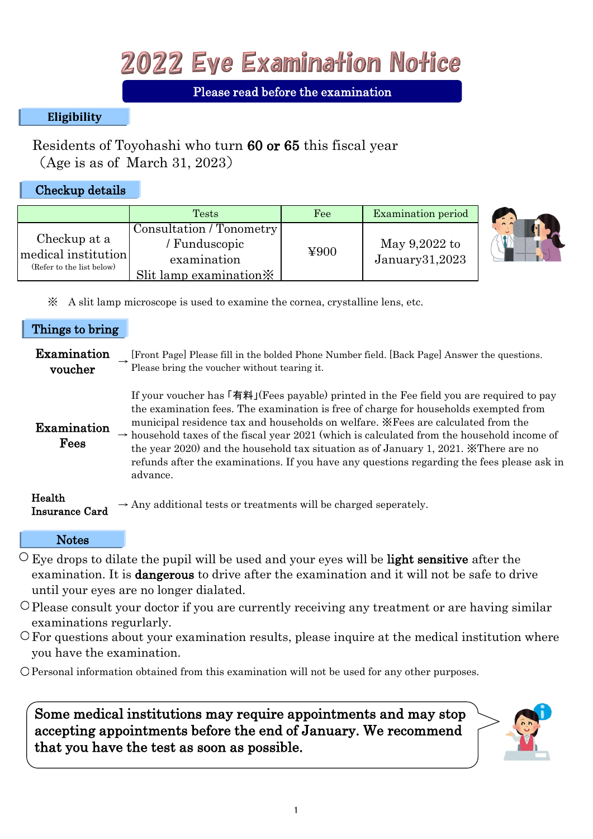## 2022 Eye Examination Notice

## Please read before the examination

## **Eligibility**

Residents of Toyohashi who turn 60 or 65 this fiscal year (Age is as of March 31, 2023)

## Checkup details

|                                                                  | <b>Tests</b>                                                                                   | Fee  | <b>Examination</b> period       |
|------------------------------------------------------------------|------------------------------------------------------------------------------------------------|------|---------------------------------|
| Checkup at a<br>medical institution<br>(Refer to the list below) | Consultation / Tonometry<br>' Funduscopic<br>examination<br>Slit lamp examination $\mathbb{X}$ | ¥900 | May 9,2022 to<br>January31,2023 |



※ A slit lamp microscope is used to examine the cornea, crystalline lens, etc.

### Things to bring

| Examination<br>voucher          | [Front Page] Please fill in the bolded Phone Number field. [Back Page] Answer the questions.<br>Please bring the voucher without tearing it.                                                                                                                                                                                                                                                                                                                                                                                                                                            |
|---------------------------------|-----------------------------------------------------------------------------------------------------------------------------------------------------------------------------------------------------------------------------------------------------------------------------------------------------------------------------------------------------------------------------------------------------------------------------------------------------------------------------------------------------------------------------------------------------------------------------------------|
| Examination<br>Fees             | If your voucher has 「有料」(Fees payable) printed in the Fee field you are required to pay<br>the examination fees. The examination is free of charge for households exempted from<br>municipal residence tax and households on welfare. *Fees are calculated from the<br>$\rightarrow$ household taxes of the fiscal year 2021 (which is calculated from the household income of<br>the year 2020) and the household tax situation as of January 1, 2021. <i>*</i> There are no<br>refunds after the examinations. If you have any questions regarding the fees please ask in<br>advance. |
| Health<br><b>Insurance Card</b> | $\rightarrow$ Any additional tests or treatments will be charged seperately.                                                                                                                                                                                                                                                                                                                                                                                                                                                                                                            |

#### **Notes**

- $\circ$  Eye drops to dilate the pupil will be used and your eyes will be **light sensitive** after the examination. It is dangerous to drive after the examination and it will not be safe to drive until your eyes are no longer dialated.
- Please consult your doctor if you are currently receiving any treatment or are having similar examinations regurlarly.
- For questions about your examination results, please inquire at the medical institution where you have the examination.
- Personal information obtained from this examination will not be used for any other purposes.

Some medical institutions may require appointments and may stop accepting appointments before the end of January. We recommend that you have the test as soon as possible.